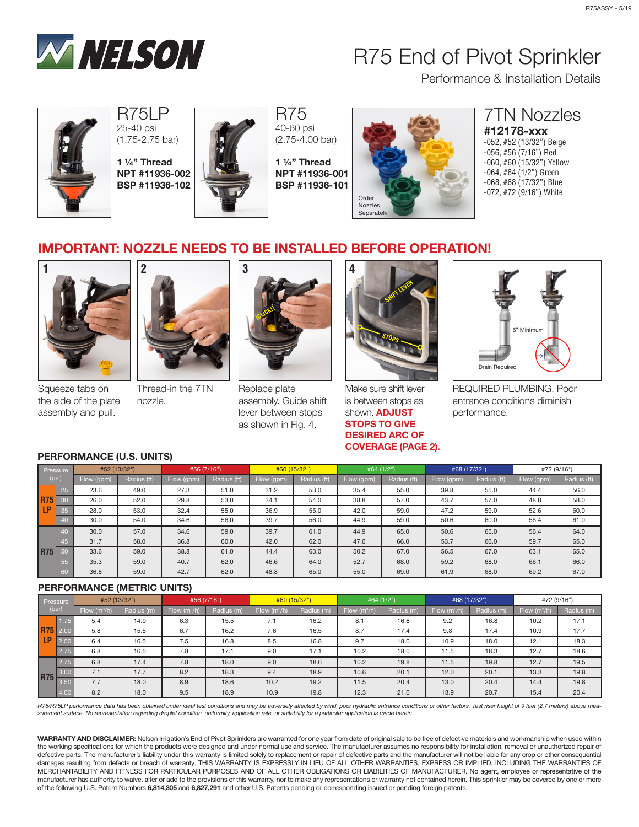

## R75 End of Pivot Sprinkler

Performance & Installation Details



R75LP 25-40 psi (1.75-2.75 bar)

1 ¼" Thread NPT #11936-002 BSP #11936-102



R75 40-60 psi (2.75-4.00 bar)

1 ¼" Thread NPT #11936-001 BSP #11936-101



### 7TN Nozzles #12178-xxx

-052, #52 (13/32") Beige -056, #56 (7/16") Red -060, #60 (15/32") Yellow -064, #64 (1/2") Green -068, #68 (17/32") Blue -072, #72 (9/16") White

## IMPORTANT: NOZZLE NEEDS TO BE INSTALLED BEFORE OPERATION!



Squeeze tabs on the side of the plate assembly and pull.



Thread-in the 7TN nozzle.



Replace plate assembly. Guide shift lever between stops as shown in Fig. 4.



Make sure shift lever is between stops as shown. **ADJUST** STOPS TO GIVE DESIRED ARC OF COVERAGE (PAGE 2).



REQUIRED PLUMBING. Poor entrance conditions diminish performance.

#### PERFORMANCE (U.S. UNITS)

| Pressure<br>(psi)       |                 | #52 (13/32") |             | #56 (7/16") |             | #60 (15/32") |             | #64 (1/2") |             | #68 (17/32") |             | #72 (9/16") |             |
|-------------------------|-----------------|--------------|-------------|-------------|-------------|--------------|-------------|------------|-------------|--------------|-------------|-------------|-------------|
|                         |                 | Flow (gpm)   | Radius (ft) | Flow (gpm)  | Radius (ft) | Flow (gpm)   | Radius (ft) | Flow (gpm) | Radius (ft) | Flow (gpm)   | Radius (ft) | Flow (gpm)  | Radius (ft) |
| <b>R75</b><br><b>LP</b> | 25              | 23.6         | 49.0        | 27.3        | 51.0        | 31.2         | 53.0        | 35.4       | 55.0        | 39.8         | 55.0        | 44.4        | 56.0        |
|                         | 30              | 26.0         | 52.0        | 29.8        | 53.0        | 34.1         | 54.0        | 38.8       | 57.0        | 43.7         | 57.0        | 48.8        | 58.0        |
|                         | 35              | 28.0         | 53.0        | 32.4        | 55.0        | 36.9         | 55.0        | 42.0       | 59.0        | 47.2         | 59.0        | 52.6        | 60.0        |
|                         | 40              | 30.0         | 54.0        | 34.6        | 56.0        | 39.7         | 56.0        | 44.9       | 59.0        | 50.6         | 60.0        | 56.4        | 61.0        |
| <b>R75</b>              | 40 <sub>1</sub> | 30.0         | 57.0        | 34.6        | 59.0        | 39.7         | 61.0        | 44.9       | 65.0        | 50.6         | 65.0        | 56.4        | 64.0        |
|                         | 45              | 31.7         | 58.0        | 36.8        | 60.0        | 42.0         | 62.0        | 47.6       | 66.0        | 53.7         | 66.0        | 59.7        | 65.0        |
|                         | 50              | 33.6         | 59.0        | 38.8        | 61.0        | 44.4         | 63.0        | 50.2       | 67.0        | 56.5         | 67.0        | 63.1        | 65.0        |
|                         | 55              | 35.3         | 59.0        | 40.7        | 62.0        | 46.6         | 64.0        | 52.7       | 68.0        | 59.2         | 68.0        | 66.1        | 66.0        |
|                         | 60              | 36.8         | 59.0        | 42.7        | 62.0        | 48.8         | 65.0        | 55.0       | 69.0        | 61.9         | 68.0        | 69.2        | 67.0        |

#### PERFORMANCE (METRIC UNITS)

| Pressure<br>(bar) |                 | #52 (13/32")   |            | #56 (7/16")    |            | #60 (15/32")   |            | #64 (1/2")     |            | #68 (17/32")   |            | #72 (9/16")    |            |
|-------------------|-----------------|----------------|------------|----------------|------------|----------------|------------|----------------|------------|----------------|------------|----------------|------------|
|                   |                 | Flow $(m^3/h)$ | Radius (m) | Flow $(m^3/h)$ | Radius (m) | Flow $(m^3/h)$ | Radius (m) | Flow $(m^3/h)$ | Radius (m) | Flow $(m^3/h)$ | Radius (m) | Flow $(m^3/h)$ | Radius (m) |
| <b>LP</b>         | 1.75            | 5.4            | 14.9       | 6.3            | 15.5       | 7.1            | 16.2       | 8.1            | 16.8       | 9.2            | 16.8       | 10.2           | 17.1       |
|                   | <b>R75</b> 2.00 | 5.8            | 15.5       | 6.7            | 16.2       | 7.6            | 16.5       | 8.7            | 17.4       | 9.8            | 17.4       | 10.9           | 17.7       |
|                   | 2.50            | 6.4            | 16.5       | 7.5            | 16.8       | 8.5            | 16.8       | 9.7            | 18.0       | 10.9           | 18.0       | 12.1           | 18.3       |
|                   | 2.75            | 6.8            | 16.5       | 7.8            | 17.1       | 9.0            | 17.1       | 10.2           | 18.0       | 11.5           | 18.3       | 12.7           | 18.6       |
| <b>R75</b>        | 2.75            | 6.8            | 17.4       | 7.8            | 18.0       | 9.0            | 18.6       | 10.2           | 19.8       | 11.5           | 19.8       | 12.7           | 19.5       |
|                   |                 | 7.1            | 17.7       | 8.2            | 18.3       | 9.4            | 18.9       | 10.6           | 20.1       | 12.0           | 20.1       | 13.3           | 19.8       |
|                   | 3.50            | 7.7            | 18.0       | 8.9            | 18.6       | 10.2           | 19.2       | 11.5           | 20.4       | 13.0           | 20.4       | 14.4           | 19.8       |
|                   | 4.00            | 8.2            | 18.0       | 9.5            | 18.9       | 10.9           | 19.8       | 12.3           | 21.0       | 13.9           | 20.7       | 15.4           | 20.4       |

R75/R75LP performance data has been obtained under ideal test conditions and may be adversely affected by wind, poor hydraulic entrance conditions or other factors. Test riser height of 9 feet (2.7 meters) above mea*surement surface. No representation regarding droplet condition, uniformity, application rate, or suitability for a particular application is made herein.*

WARRANTY AND DISCLAIMER: Nelson Irrigation's End of Pivot Sprinklers are warranted for one year from date of original sale to be free of defective materials and workmanship when used within the working specifications for which the products were designed and under normal use and service. The manufacturer assumes no responsibility for installation, removal or unauthorized repair of defective parts. The manufacturer's liability under this warranty is limited solely to replacement or repair of defective parts and the manufacturer will not be liable for any crop or other consequential damages resulting from defects or breach of warranty. THIS WARRANTY IS EXPRESSLY IN LIEU OF ALL OTHER WARRANTIES, EXPRESS OR IMPLIED, INCLUDING THE WARRANTIES OF MERCHANTABILITY AND FITNESS FOR PARTICULAR PURPOSES AND OF ALL OTHER OBLIGATIONS OR LIABILITIES OF MANUFACTURER. No agent, employee or representative of the manufacturer has authority to waive, alter or add to the provisions of this warranty, nor to make any representations or warranty not contained herein. This sprinkler may be covered by one or more of the following U.S. Patent Numbers 6,814,305 and 6,827,291 and other U.S. Patents pending or corresponding issued or pending foreign patents.